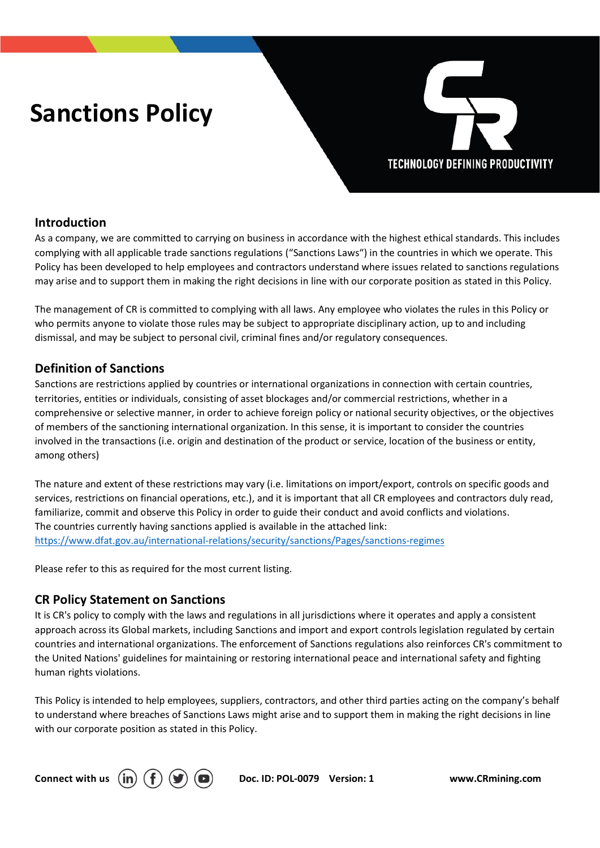# Sanctions Policy



# Introduction

As a company, we are committed to carrying on business in accordance with the highest ethical standards. This includes complying with all applicable trade sanctions regulations ("Sanctions Laws") in the countries in which we operate. This Policy has been developed to help employees and contractors understand where issues related to sanctions regulations may arise and to support them in making the right decisions in line with our corporate position as stated in this Policy.

The management of CR is committed to complying with all laws. Any employee who violates the rules in this Policy or who permits anyone to violate those rules may be subject to appropriate disciplinary action, up to and including dismissal, and may be subject to personal civil, criminal fines and/or regulatory consequences.

### Definition of Sanctions

Sanctions are restrictions applied by countries or international organizations in connection with certain countries, territories, entities or individuals, consisting of asset blockages and/or commercial restrictions, whether in a comprehensive or selective manner, in order to achieve foreign policy or national security objectives, or the objectives of members of the sanctioning international organization. In this sense, it is important to consider the countries involved in the transactions (i.e. origin and destination of the product or service, location of the business or entity, among others)

The nature and extent of these restrictions may vary (i.e. limitations on import/export, controls on specific goods and services, restrictions on financial operations, etc.), and it is important that all CR employees and contractors duly read, familiarize, commit and observe this Policy in order to guide their conduct and avoid conflicts and violations. The countries currently having sanctions applied is available in the attached link: https://www.dfat.gov.au/international-relations/security/sanctions/Pages/sanctions-regimes<br>Please refer to this as required for the most current listing.

### CR Policy Statement on Sanctions

It is CR's policy to comply with the laws and regulations in all jurisdictions where it operates and apply a consistent approach across its Global markets, including Sanctions and import and export controls legislation regulated by certain countries and international organizations. The enforcement of Sanctions regulations also reinforces CR's commitment to the United Nations' guidelines for maintaining or restoring international peace and international safety and fighting human rights violations.

This Policy is intended to help employees, suppliers, contractors, and other third parties acting on the company's behalf to understand where breaches of Sanctions Laws might arise and to support them in making the right decisions in line with our corporate position as stated in this Policy.



Connect with us  $\hat{p}(\mathbf{f})$   $\hat{p}(\mathbf{s})$  Doc. ID: POL-0079 Version: 1 www.CRmining.com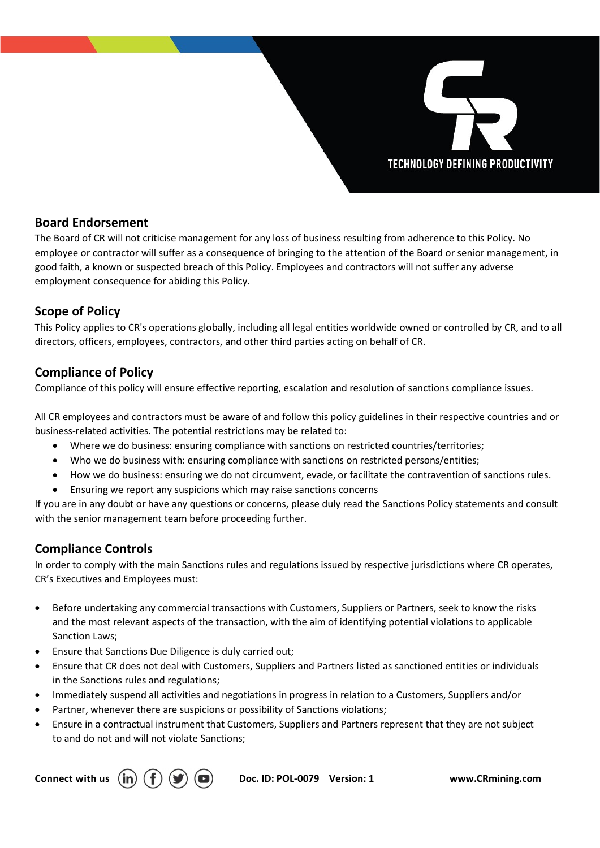# **TECHNOLOGY DEFINING PRODUCTIVITY**

# Board Endorsement

The Board of CR will not criticise management for any loss of business resulting from adherence to this Policy. No employee or contractor will suffer as a consequence of bringing to the attention of the Board or senior management, in good faith, a known or suspected breach of this Policy. Employees and contractors will not suffer any adverse employment consequence for abiding this Policy.

# Scope of Policy

This Policy applies to CR's operations globally, including all legal entities worldwide owned or controlled by CR, and to all directors, officers, employees, contractors, and other third parties acting on behalf of CR.

# Compliance of Policy

Compliance of this policy will ensure effective reporting, escalation and resolution of sanctions compliance issues.

All CR employees and contractors must be aware of and follow this policy guidelines in their respective countries and or business-related activities. The potential restrictions may be related to:

- Where we do business: ensuring compliance with sanctions on restricted countries/territories;
- Who we do business with: ensuring compliance with sanctions on restricted persons/entities;
- How we do business: ensuring we do not circumvent, evade, or facilitate the contravention of sanctions rules.
- Ensuring we report any suspicions which may raise sanctions concerns

If you are in any doubt or have any questions or concerns, please duly read the Sanctions Policy statements and consult with the senior management team before proceeding further.

### Compliance Controls

In order to comply with the main Sanctions rules and regulations issued by respective jurisdictions where CR operates, CR's Executives and Employees must:

- Before undertaking any commercial transactions with Customers, Suppliers or Partners, seek to know the risks and the most relevant aspects of the transaction, with the aim of identifying potential violations to applicable Sanction Laws;
- Ensure that Sanctions Due Diligence is duly carried out;
- Ensure that CR does not deal with Customers, Suppliers and Partners listed as sanctioned entities or individuals in the Sanctions rules and regulations;
- Immediately suspend all activities and negotiations in progress in relation to a Customers, Suppliers and/or
- Partner, whenever there are suspicions or possibility of Sanctions violations;
- Ensure in a contractual instrument that Customers, Suppliers and Partners represent that they are not subject to and do not and will not violate Sanctions;



Connect with us  $(in)$   $(f)$   $(g)$   $(g)$  Doc. ID: POL-0079 Version: 1 www.CRmining.com